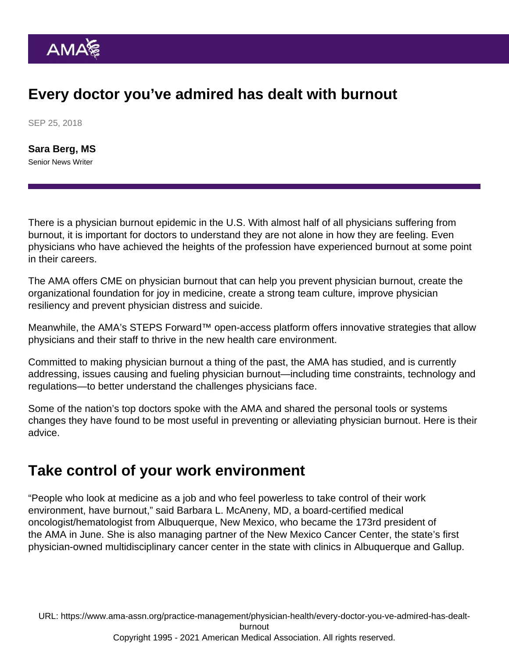## Every doctor you've admired has dealt with burnout

SEP 25, 2018

[Sara Berg, MS](https://www.ama-assn.org/news-leadership-viewpoints/authors-news-leadership-viewpoints/sara-berg-ms) Senior News Writer

There is a physician burnout epidemic in the U.S. With almost half of all physicians suffering from burnout, it is important for doctors to understand they are not alone in how they are feeling. Even physicians who have achieved the heights of the profession have experienced burnout at some point in their careers.

The AMA offers [CME on physician burnout](https://education.ama-assn.org/physician-burnout.html) that can help you prevent physician burnout, create the organizational foundation for joy in medicine, create a strong team culture, improve physician resiliency and prevent physician distress and suicide.

Meanwhile, the AMA's [STEPS Forward™](http://www.stepsforward.org/) open-access platform offers innovative strategies that allow physicians and their staff to thrive in the new health care environment.

Committed to making physician burnout a thing of the past, the AMA has studied, and is currently addressing, issues causing and fueling physician burnout—including time constraints, technology and regulations—to better understand the challenges physicians face.

Some of the nation's top doctors spoke with the AMA and shared the personal tools or systems changes they have found to be most useful in preventing or alleviating physician burnout. Here is their advice.

#### Take control of your work environment

"People who look at medicine as a job and who feel powerless to take control of their work environment, have burnout," said [Barbara L. McAneny](https://www.ama-assn.org/about-ama/leadership/members-move-medicine-pushing-better-health-system), MD, a board-certified medical oncologist/hematologist from Albuquerque, New Mexico, who became the 173rd president of the AMA in June. She is also managing partner of the New Mexico Cancer Center, the state's first physician-owned multidisciplinary cancer center in the state with clinics in Albuquerque and Gallup.

URL: [https://www.ama-assn.org/practice-management/physician-health/every-doctor-you-ve-admired-has-dealt](https://www.ama-assn.org/practice-management/physician-health/every-doctor-you-ve-admired-has-dealt-burnout)[burnout](https://www.ama-assn.org/practice-management/physician-health/every-doctor-you-ve-admired-has-dealt-burnout) Copyright 1995 - 2021 American Medical Association. All rights reserved.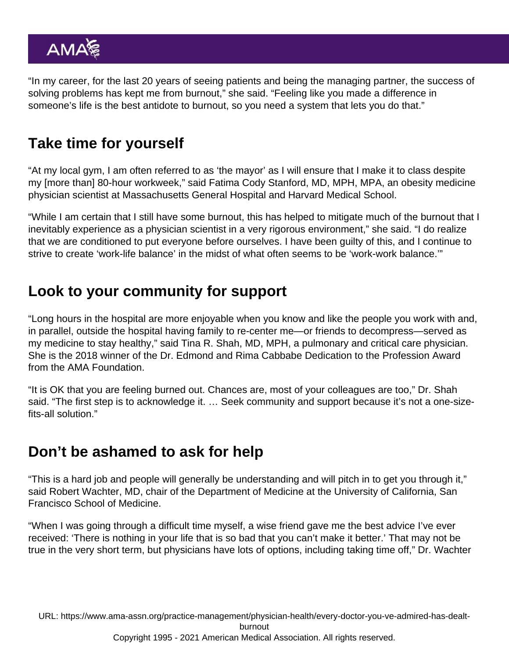"In my career, for the last 20 years of seeing patients and being the managing partner, the success of solving problems has kept me from burnout," she said. "Feeling like you made a difference in someone's life is the best antidote to burnout, so you need a system that lets you do that."

## Take time for yourself

"At my local gym, I am often referred to as 'the mayor' as I will ensure that I make it to class despite my [more than] 80-hour workweek," said [Fatima Cody Stanford](https://www.ama-assn.org/about-ama/leadership/members-move-medicine-advancing-patients-progress-against-obesity), MD, MPH, MPA, an obesity medicine physician scientist at Massachusetts General Hospital and Harvard Medical School.

"While I am certain that I still have some burnout, this has helped to mitigate much of the burnout that I inevitably experience as a physician scientist in a very rigorous environment," she said. "I do realize that we are conditioned to put everyone before ourselves. I have been guilty of this, and I continue to strive to create 'work-life balance' in the midst of what often seems to be 'work-work balance.'"

### Look to your community for support

"Long hours in the hospital are more enjoyable when you know and like the people you work with and, in parallel, outside the hospital having family to re-center me—or friends to decompress—served as my medicine to stay healthy," said Tina R. Shah, MD, MPH, a pulmonary and critical care physician. She is the [2018 winner](https://www.ama-assn.org/about-ama/awards/5-physicians-honored-work-underserved-populations) of the Dr. Edmond and Rima Cabbabe Dedication to the Profession Award from the AMA Foundation.

"It is OK that you are feeling burned out. Chances are, most of your colleagues are too," Dr. Shah said. "The first step is to acknowledge it. … Seek community and support because it's not a one-sizefits-all solution."

### Don't be ashamed to ask for help

"This is a hard job and people will generally be understanding and will pitch in to get you through it," said [Robert Wachter](https://www.ama-assn.org/practice-management/digital/why-medicines-digital-transformation-just-beginning), MD, chair of the Department of Medicine at the University of California, San Francisco School of Medicine.

"When I was going through a difficult time myself, a wise friend gave me the best advice I've ever received: 'There is nothing in your life that is so bad that you can't make it better.' That may not be true in the very short term, but physicians have lots of options, including taking time off," Dr. Wachter

URL: [https://www.ama-assn.org/practice-management/physician-health/every-doctor-you-ve-admired-has-dealt](https://www.ama-assn.org/practice-management/physician-health/every-doctor-you-ve-admired-has-dealt-burnout)[burnout](https://www.ama-assn.org/practice-management/physician-health/every-doctor-you-ve-admired-has-dealt-burnout) Copyright 1995 - 2021 American Medical Association. All rights reserved.